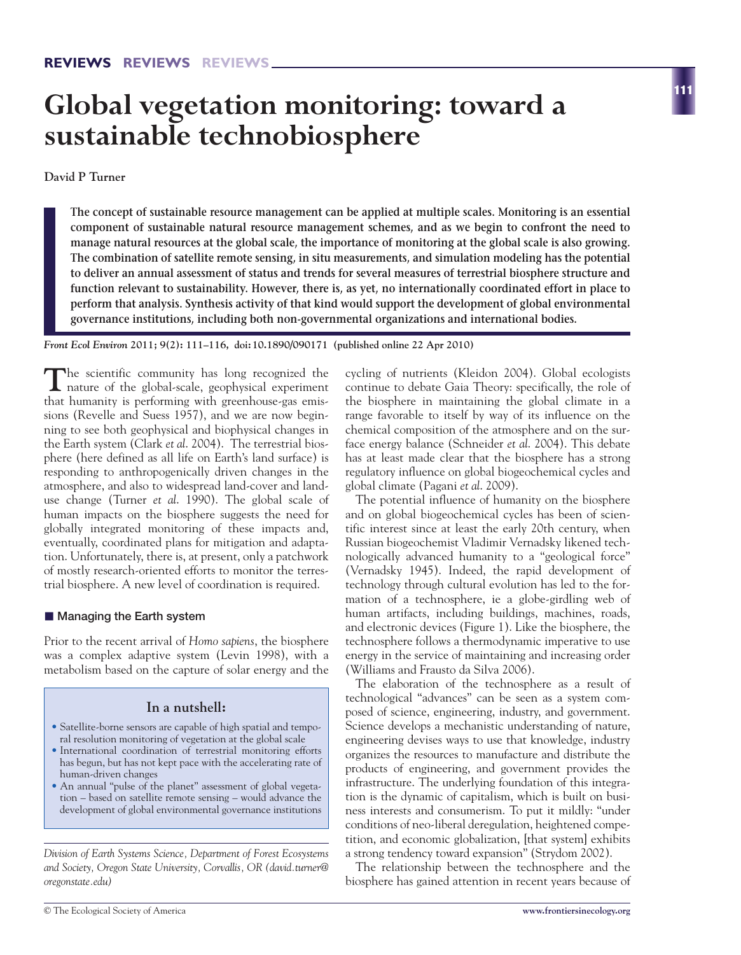# **Global vegetation monitoring: toward a sustainable technobiosphere**

**David P Turner**

**The concept of sustainable resource management can be applied at multiple scales. Monitoring is an essential component of sustainable natural resource management schemes, and as we begin to confront the need to manage natural resources at the global scale, the importance of monitoring at the global scale is also growing. The combination of satellite remote sensing, in situ measurements, and simulation modeling has the potential to deliver an annual assessment of status and trends for several measures of terrestrial biosphere structure and function relevant to sustainability. However, there is, as yet, no internationally coordinated effort in place to perform that analysis. Synthesis activity of that kind would support the development of global environmental governance institutions, including both non-governmental organizations and international bodies.** 

*Front Ecol Environ* **2011; 9(2): 111–116, doi:10.1890/090171 (published online 22 Apr 2010)**

**T**he scientific community has long recognized the nature of the global-scale, geophysical experiment that humanity is performing with greenhouse-gas emissions (Revelle and Suess 1957), and we are now beginning to see both geophysical and biophysical changes in the Earth system (Clark *et al*. 2004). The terrestrial biosphere (here defined as all life on Earth's land surface) is responding to anthropogenically driven changes in the atmosphere, and also to widespread land-cover and landuse change (Turner *et al*. 1990). The global scale of human impacts on the biosphere suggests the need for globally integrated monitoring of these impacts and, eventually, coordinated plans for mitigation and adaptation. Unfortunately, there is, at present, only a patchwork of mostly research-oriented efforts to monitor the terrestrial biosphere. A new level of coordination is required.

## ■ Managing the Earth system

Prior to the recent arrival of *Homo sapiens*, the biosphere was a complex adaptive system (Levin 1998), with a metabolism based on the capture of solar energy and the

# **In a nutshell:**

- Satellite-borne sensors are capable of high spatial and temporal resolution monitoring of vegetation at the global scale
- International coordination of terrestrial monitoring efforts has begun, but has not kept pace with the accelerating rate of human-driven changes
- An annual "pulse of the planet" assessment of global vegetation – based on satellite remote sensing – would advance the development of global environmental governance institutions

*Division of Earth Systems Science, Department of Forest Ecosystems and Society, Oregon State University, Corvallis, OR (david.turner@ oregonstate.edu)*

cycling of nutrients (Kleidon 2004). Global ecologists continue to debate Gaia Theory: specifically, the role of the biosphere in maintaining the global climate in a range favorable to itself by way of its influence on the chemical composition of the atmosphere and on the surface energy balance (Schneider *et al*. 2004). This debate has at least made clear that the biosphere has a strong regulatory influence on global biogeochemical cycles and global climate (Pagani *et al*. 2009).

The potential influence of humanity on the biosphere and on global biogeochemical cycles has been of scientific interest since at least the early 20th century, when Russian biogeochemist Vladimir Vernadsky likened technologically advanced humanity to a "geological force" (Vernadsky 1945). Indeed, the rapid development of technology through cultural evolution has led to the formation of a technosphere, ie a globe-girdling web of human artifacts, including buildings, machines, roads, and electronic devices (Figure 1). Like the biosphere, the technosphere follows a thermodynamic imperative to use energy in the service of maintaining and increasing order (Williams and Frausto da Silva 2006).

The elaboration of the technosphere as a result of technological "advances" can be seen as a system composed of science, engineering, industry, and government. Science develops a mechanistic understanding of nature, engineering devises ways to use that knowledge, industry organizes the resources to manufacture and distribute the products of engineering, and government provides the infrastructure. The underlying foundation of this integration is the dynamic of capitalism, which is built on business interests and consumerism. To put it mildly: "under conditions of neo-liberal deregulation, heightened competition, and economic globalization, [that system] exhibits a strong tendency toward expansion" (Strydom 2002).

The relationship between the technosphere and the biosphere has gained attention in recent years because of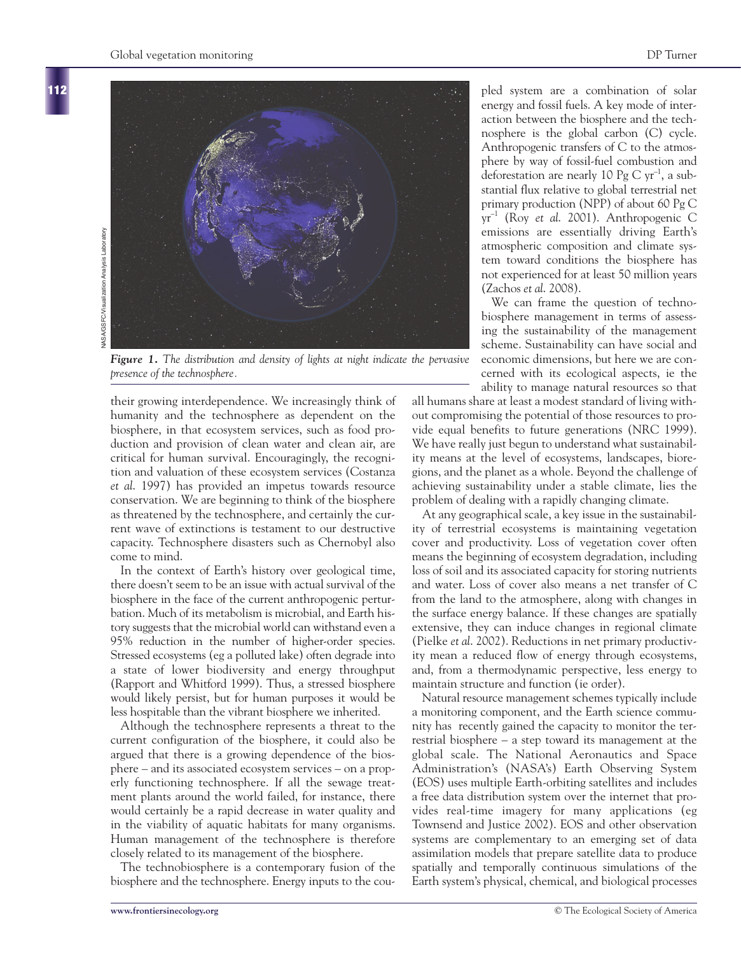

*Figure 1. The distribution and density of lights at night indicate the pervasive presence of the technosphere.*

their growing interdependence. We increasingly think of humanity and the technosphere as dependent on the biosphere, in that ecosystem services, such as food production and provision of clean water and clean air, are critical for human survival. Encouragingly, the recognition and valuation of these ecosystem services (Costanza *et al*. 1997) has provided an impetus towards resource conservation. We are beginning to think of the biosphere as threatened by the technosphere, and certainly the current wave of extinctions is testament to our destructive capacity. Technosphere disasters such as Chernobyl also come to mind.

In the context of Earth's history over geological time, there doesn't seem to be an issue with actual survival of the biosphere in the face of the current anthropogenic perturbation. Much of its metabolism is microbial, and Earth history suggests that the microbial world can withstand even a 95% reduction in the number of higher-order species. Stressed ecosystems (eg a polluted lake) often degrade into a state of lower biodiversity and energy throughput (Rapport and Whitford 1999). Thus, a stressed biosphere would likely persist, but for human purposes it would be less hospitable than the vibrant biosphere we inherited.

Although the technosphere represents a threat to the current configuration of the biosphere, it could also be argued that there is a growing dependence of the biosphere – and its associated ecosystem services – on a properly functioning technosphere. If all the sewage treatment plants around the world failed, for instance, there would certainly be a rapid decrease in water quality and in the viability of aquatic habitats for many organisms. Human management of the technosphere is therefore closely related to its management of the biosphere.

The technobiosphere is a contemporary fusion of the biosphere and the technosphere. Energy inputs to the coupled system are a combination of solar energy and fossil fuels. A key mode of interaction between the biosphere and the technosphere is the global carbon (C) cycle. Anthropogenic transfers of C to the atmosphere by way of fossil-fuel combustion and deforestation are nearly 10 Pg C  $yr^{-1}$ , a substantial flux relative to global terrestrial net primary production (NPP) of about 60 Pg C yr –1 (Roy *et al*. 2001). Anthropogenic C emissions are essentially driving Earth's atmospheric composition and climate system toward conditions the biosphere has not experienced for at least 50 million years (Zachos *et al*. 2008).

We can frame the question of technobiosphere management in terms of assessing the sustainability of the management scheme. Sustainability can have social and economic dimensions, but here we are concerned with its ecological aspects, ie the ability to manage natural resources so that

all humans share at least a modest standard of living without compromising the potential of those resources to provide equal benefits to future generations (NRC 1999). We have really just begun to understand what sustainability means at the level of ecosystems, landscapes, bioregions, and the planet as a whole. Beyond the challenge of achieving sustainability under a stable climate, lies the problem of dealing with a rapidly changing climate.

At any geographical scale, a key issue in the sustainability of terrestrial ecosystems is maintaining vegetation cover and productivity. Loss of vegetation cover often means the beginning of ecosystem degradation, including loss of soil and its associated capacity for storing nutrients and water. Loss of cover also means a net transfer of C from the land to the atmosphere, along with changes in the surface energy balance. If these changes are spatially extensive, they can induce changes in regional climate (Pielke *et al*. 2002). Reductions in net primary productivity mean a reduced flow of energy through ecosystems, and, from a thermodynamic perspective, less energy to maintain structure and function (ie order).

Natural resource management schemes typically include a monitoring component, and the Earth science community has recently gained the capacity to monitor the terrestrial biosphere – a step toward its management at the global scale. The National Aeronautics and Space Administration's (NASA's) Earth Observing System (EOS) uses multiple Earth-orbiting satellites and includes a free data distribution system over the internet that provides real-time imagery for many applications (eg Townsend and Justice 2002). EOS and other observation systems are complementary to an emerging set of data assimilation models that prepare satellite data to produce spatially and temporally continuous simulations of the Earth system's physical, chemical, and biological processes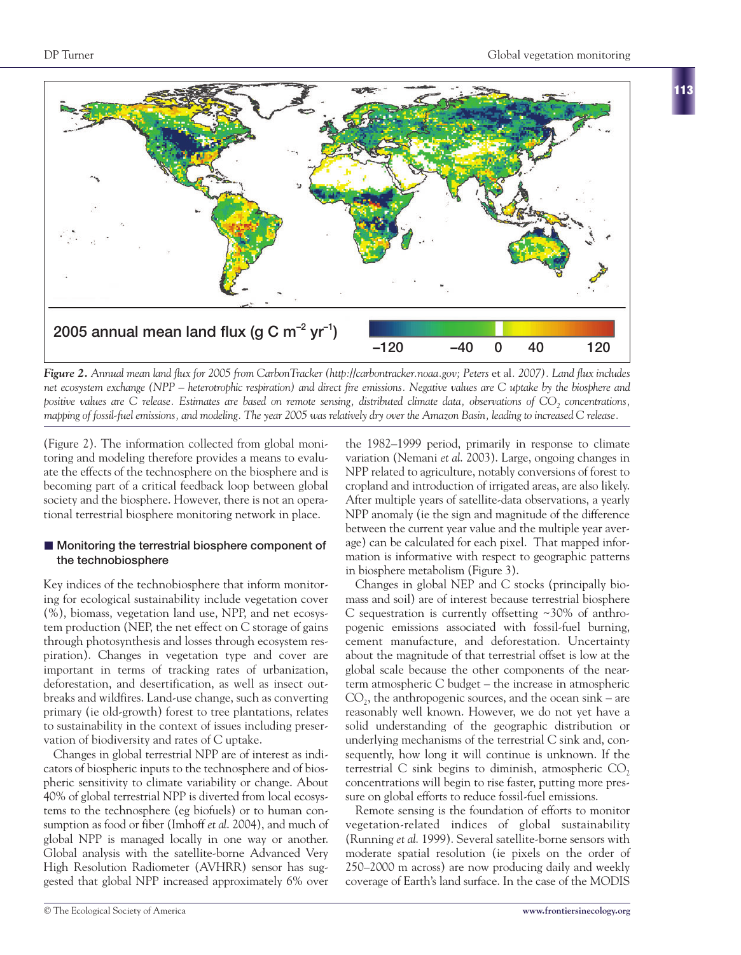

*Figure 2. Annual mean land flux for 2005 from CarbonTracker (http://carbontracker.noaa.gov; Peters et al. 2007). Land flux includes net ecosystem exchange (NPP – heterotrophic respiration) and direct fire emissions. Negative values are C uptake by the biosphere and positive values are C release. Estimates are based on remote sensing, distributed climate data, observations of CO2 concentrations, mapping of fossil-fuel emissions, and modeling. The year 2005 was relatively dry over the Amazon Basin, leading to increased C release.*

(Figure 2). The information collected from global monitoring and modeling therefore provides a means to evaluate the effects of the technosphere on the biosphere and is becoming part of a critical feedback loop between global society and the biosphere. However, there is not an operational terrestrial biosphere monitoring network in place.

## ■ Monitoring the terrestrial biosphere component of **the technobiosphere**

Key indices of the technobiosphere that inform monitoring for ecological sustainability include vegetation cover (%), biomass, vegetation land use, NPP, and net ecosystem production (NEP, the net effect on C storage of gains through photosynthesis and losses through ecosystem respiration). Changes in vegetation type and cover are important in terms of tracking rates of urbanization, deforestation, and desertification, as well as insect outbreaks and wildfires. Land-use change, such as converting primary (ie old-growth) forest to tree plantations, relates to sustainability in the context of issues including preservation of biodiversity and rates of C uptake.

Changes in global terrestrial NPP are of interest as indicators of biospheric inputs to the technosphere and of biospheric sensitivity to climate variability or change. About 40% of global terrestrial NPP is diverted from local ecosystems to the technosphere (eg biofuels) or to human consumption as food or fiber (Imhoff *et al*. 2004), and much of global NPP is managed locally in one way or another. Global analysis with the satellite-borne Advanced Very High Resolution Radiometer (AVHRR) sensor has suggested that global NPP increased approximately 6% over

the 1982–1999 period, primarily in response to climate variation (Nemani *et al*. 2003). Large, ongoing changes in NPP related to agriculture, notably conversions of forest to cropland and introduction of irrigated areas, are also likely. After multiple years of satellite-data observations, a yearly NPP anomaly (ie the sign and magnitude of the difference between the current year value and the multiple year average) can be calculated for each pixel. That mapped information is informative with respect to geographic patterns in biosphere metabolism (Figure 3).

Changes in global NEP and C stocks (principally biomass and soil) are of interest because terrestrial biosphere C sequestration is currently offsetting ~30% of anthropogenic emissions associated with fossil-fuel burning, cement manufacture, and deforestation. Uncertainty about the magnitude of that terrestrial offset is low at the global scale because the other components of the nearterm atmospheric C budget – the increase in atmospheric  $CO<sub>2</sub>$ , the anthropogenic sources, and the ocean sink – are reasonably well known. However, we do not yet have a solid understanding of the geographic distribution or underlying mechanisms of the terrestrial C sink and, consequently, how long it will continue is unknown. If the terrestrial C sink begins to diminish, atmospheric  $CO<sub>2</sub>$ concentrations will begin to rise faster, putting more pressure on global efforts to reduce fossil-fuel emissions.

Remote sensing is the foundation of efforts to monitor vegetation-related indices of global sustainability (Running *et al*. 1999). Several satellite-borne sensors with moderate spatial resolution (ie pixels on the order of 250–2000 m across) are now producing daily and weekly coverage of Earth's land surface. In the case of the MODIS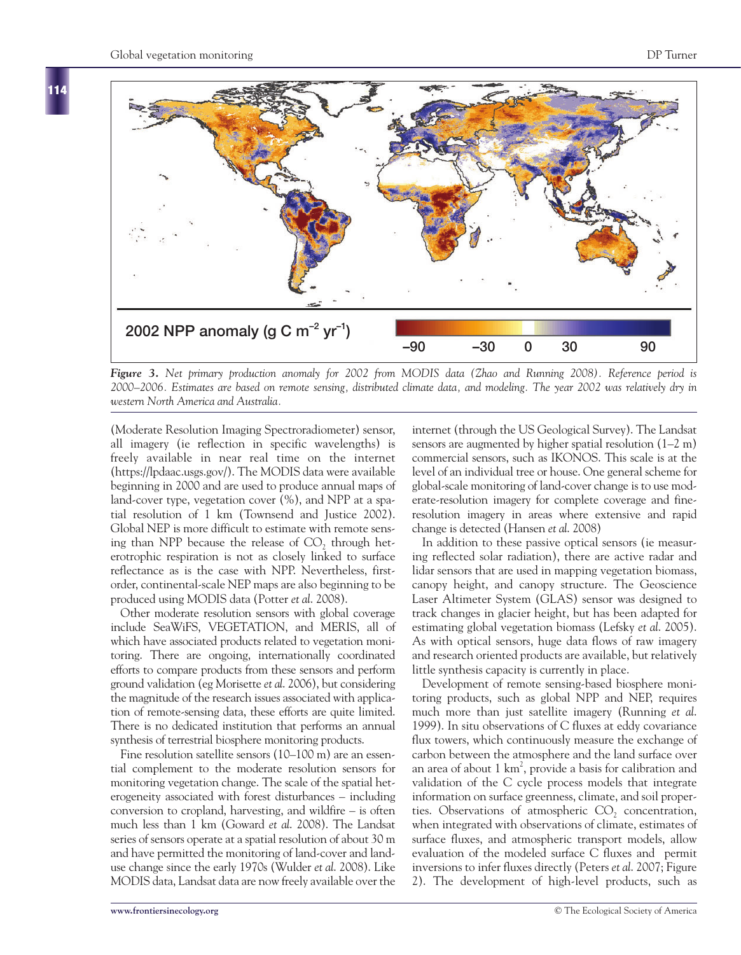**114**



*Figure 3. Net primary production anomaly for 2002 from MODIS data (Zhao and Running 2008). Reference period is 2000–2006. Estimates are based on remote sensing, distributed climate data, and modeling. The year 2002 was relatively dry in western North America and Australia.*

(Moderate Resolution Imaging Spectroradiometer) sensor, all imagery (ie reflection in specific wavelengths) is freely available in near real time on the internet (https://lpdaac.usgs.gov/). The MODIS data were available beginning in 2000 and are used to produce annual maps of land-cover type, vegetation cover (%), and NPP at a spatial resolution of 1 km (Townsend and Justice 2002). Global NEP is more difficult to estimate with remote sensing than NPP because the release of  $CO<sub>2</sub>$ , through heterotrophic respiration is not as closely linked to surface reflectance as is the case with NPP. Nevertheless, firstorder, continental-scale NEP maps are also beginning to be produced using MODIS data (Potter *et al*. 2008).

Other moderate resolution sensors with global coverage include SeaWiFS, VEGETATION, and MERIS, all of which have associated products related to vegetation monitoring. There are ongoing, internationally coordinated efforts to compare products from these sensors and perform ground validation (eg Morisette *et al*. 2006), but considering the magnitude of the research issues associated with application of remote-sensing data, these efforts are quite limited. There is no dedicated institution that performs an annual synthesis of terrestrial biosphere monitoring products.

Fine resolution satellite sensors (10–100 m) are an essential complement to the moderate resolution sensors for monitoring vegetation change. The scale of the spatial heterogeneity associated with forest disturbances – including conversion to cropland, harvesting, and wildfire – is often much less than 1 km (Goward *et al*. 2008). The Landsat series of sensors operate at a spatial resolution of about 30 m and have permitted the monitoring of land-cover and landuse change since the early 1970s (Wulder *et al*. 2008). Like MODIS data, Landsat data are now freely available over the

internet (through the US Geological Survey). The Landsat sensors are augmented by higher spatial resolution (1–2 m) commercial sensors, such as IKONOS. This scale is at the level of an individual tree or house. One general scheme for global-scale monitoring of land-cover change is to use moderate-resolution imagery for complete coverage and fineresolution imagery in areas where extensive and rapid change is detected (Hansen *et al*. 2008)

In addition to these passive optical sensors (ie measuring reflected solar radiation), there are active radar and lidar sensors that are used in mapping vegetation biomass, canopy height, and canopy structure. The Geoscience Laser Altimeter System (GLAS) sensor was designed to track changes in glacier height, but has been adapted for estimating global vegetation biomass (Lefsky *et al*. 2005). As with optical sensors, huge data flows of raw imagery and research oriented products are available, but relatively little synthesis capacity is currently in place.

Development of remote sensing-based biosphere monitoring products, such as global NPP and NEP, requires much more than just satellite imagery (Running *et al*. 1999). In situ observations of C fluxes at eddy covariance flux towers, which continuously measure the exchange of carbon between the atmosphere and the land surface over an area of about  $1 \text{ km}^2$ , provide a basis for calibration and validation of the C cycle process models that integrate information on surface greenness, climate, and soil properties. Observations of atmospheric  $CO<sub>2</sub>$  concentration, when integrated with observations of climate, estimates of surface fluxes, and atmospheric transport models, allow evaluation of the modeled surface C fluxes and permit inversions to infer fluxes directly (Peters *et al*. 2007; Figure 2). The development of high-level products, such as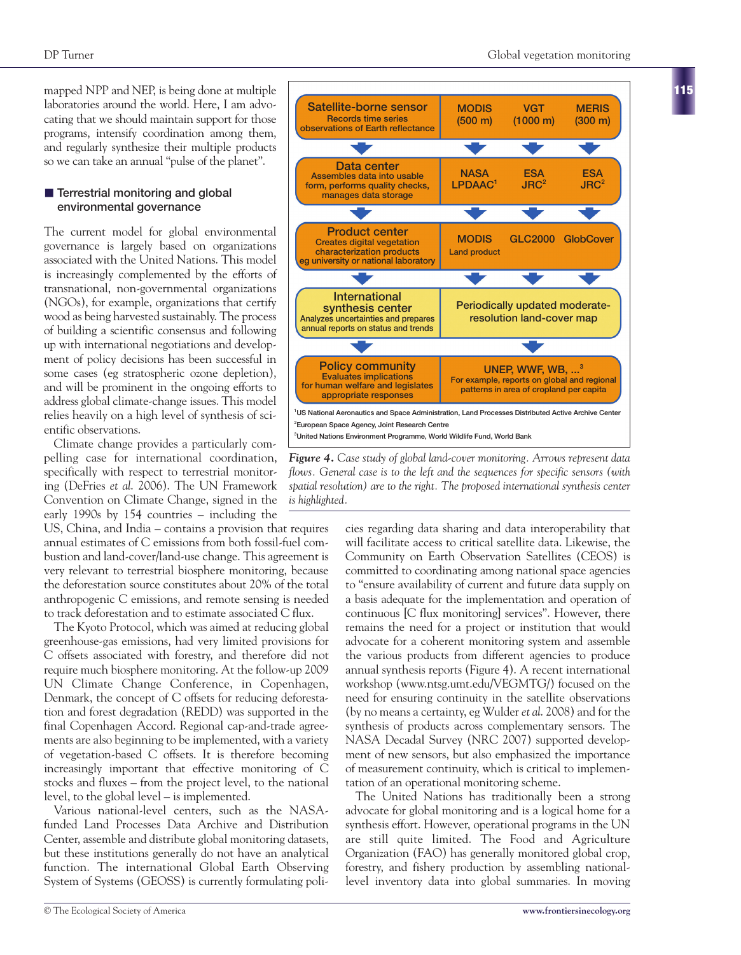mapped NPP and NEP, is being done at multiple laboratories around the world. Here, I am advocating that we should maintain support for those programs, intensify coordination among them, and regularly synthesize their multiple products so we can take an annual "pulse of the planet".

## **n** Terrestrial monitoring and global **environmental governance**

The current model for global environmental governance is largely based on organizations associated with the United Nations. This model is increasingly complemented by the efforts of transnational, non-governmental organizations (NGOs), for example, organizations that certify wood as being harvested sustainably. The process of building a scientific consensus and following up with international negotiations and development of policy decisions has been successful in some cases (eg stratospheric ozone depletion), and will be prominent in the ongoing efforts to address global climate-change issues. This model relies heavily on a high level of synthesis of scientific observations.

Climate change provides a particularly compelling case for international coordination, specifically with respect to terrestrial monitoring (DeFries *et al*. 2006). The UN Framework Convention on Climate Change, signed in the early 1990s by 154 countries – including the

US, China, and India – contains a provision that requires annual estimates of C emissions from both fossil-fuel combustion and land-cover/land-use change. This agreement is very relevant to terrestrial biosphere monitoring, because the deforestation source constitutes about 20% of the total anthropogenic C emissions, and remote sensing is needed to track deforestation and to estimate associated C flux.

The Kyoto Protocol, which was aimed at reducing global greenhouse-gas emissions, had very limited provisions for C offsets associated with forestry, and therefore did not require much biosphere monitoring. At the follow-up 2009 UN Climate Change Conference, in Copenhagen, Denmark, the concept of C offsets for reducing deforestation and forest degradation (REDD) was supported in the final Copenhagen Accord. Regional cap-and-trade agreements are also beginning to be implemented, with a variety of vegetation-based C offsets. It is therefore becoming increasingly important that effective monitoring of C stocks and fluxes – from the project level, to the national level, to the global level – is implemented.

Various national-level centers, such as the NASAfunded Land Processes Data Archive and Distribution Center, assemble and distribute global monitoring datasets, but these institutions generally do not have an analytical function. The international Global Earth Observing System of Systems (GEOSS) is currently formulating poli-



**3 United Nations Environment Programme, World Wildlife Fund, World Bank**

*Figure 4. Case study of global land-cover monitoring. Arrows represent data flows. General case is to the left and the sequences for specific sensors (with spatial resolution) are to the right. The proposed international synthesis center is highlighted.*

cies regarding data sharing and data interoperability that will facilitate access to critical satellite data. Likewise, the Community on Earth Observation Satellites (CEOS) is committed to coordinating among national space agencies to "ensure availability of current and future data supply on a basis adequate for the implementation and operation of continuous [C flux monitoring] services". However, there remains the need for a project or institution that would advocate for a coherent monitoring system and assemble the various products from different agencies to produce annual synthesis reports (Figure 4). A recent international workshop (www.ntsg.umt.edu/VEGMTG/) focused on the need for ensuring continuity in the satellite observations (by no means a certainty, eg Wulder *et al*. 2008) and for the synthesis of products across complementary sensors. The NASA Decadal Survey (NRC 2007) supported development of new sensors, but also emphasized the importance of measurement continuity, which is critical to implementation of an operational monitoring scheme.

The United Nations has traditionally been a strong advocate for global monitoring and is a logical home for a synthesis effort. However, operational programs in the UN are still quite limited. The Food and Agriculture Organization (FAO) has generally monitored global crop, forestry, and fishery production by assembling nationallevel inventory data into global summaries. In moving